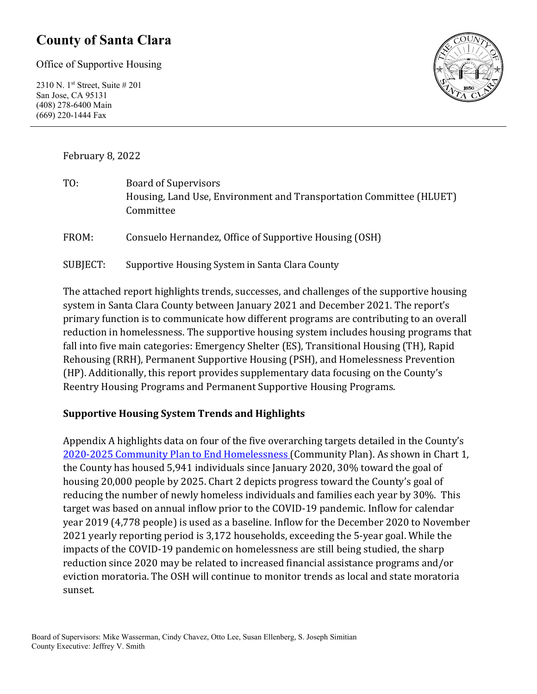### **County of Santa Clara**

Office of Supportive Housing

2310 N. 1st Street, Suite # 201 San Jose, CA 95131 (408) 278-6400 Main (669) 220-1444 Fax



February 8, 2022

| TO:      | <b>Board of Supervisors</b><br>Housing, Land Use, Environment and Transportation Committee (HLUET)<br>Committee |
|----------|-----------------------------------------------------------------------------------------------------------------|
| FROM:    | Consuelo Hernandez, Office of Supportive Housing (OSH)                                                          |
| SUBJECT: | Supportive Housing System in Santa Clara County                                                                 |

The attached report highlights trends, successes, and challenges of the supportive housing system in Santa Clara County between January 2021 and December 2021. The report's primary function is to communicate how different programs are contributing to an overall reduction in homelessness. The supportive housing system includes housing programs that fall into five main categories: Emergency Shelter (ES), Transitional Housing (TH), Rapid Rehousing (RRH), Permanent Supportive Housing (PSH), and Homelessness Prevention (HP). Additionally, this report provides supplementary data focusing on the County's Reentry Housing Programs and Permanent Supportive Housing Programs.

#### **Supportive Housing System Trends and Highlights**

Appendix A highlights data on four of the five overarching targets detailed in the County's [2020-2025 Community Plan to End Homelessness](https://www.sccgov.org/sites/yes/takeaction/Pages/2020-Santa-Clara-County-Community-Plan-to-End-Homelessness-.aspx) (Community Plan). As shown in Chart 1, the County has housed 5,941 individuals since January 2020, 30% toward the goal of housing 20,000 people by 2025. Chart 2 depicts progress toward the County's goal of reducing the number of newly homeless individuals and families each year by 30%. This target was based on annual inflow prior to the COVID-19 pandemic. Inflow for calendar year 2019 (4,778 people) is used as a baseline. Inflow for the December 2020 to November 2021 yearly reporting period is 3,172 households, exceeding the 5-year goal. While the impacts of the COVID-19 pandemic on homelessness are still being studied, the sharp reduction since 2020 may be related to increased financial assistance programs and/or eviction moratoria. The OSH will continue to monitor trends as local and state moratoria sunset.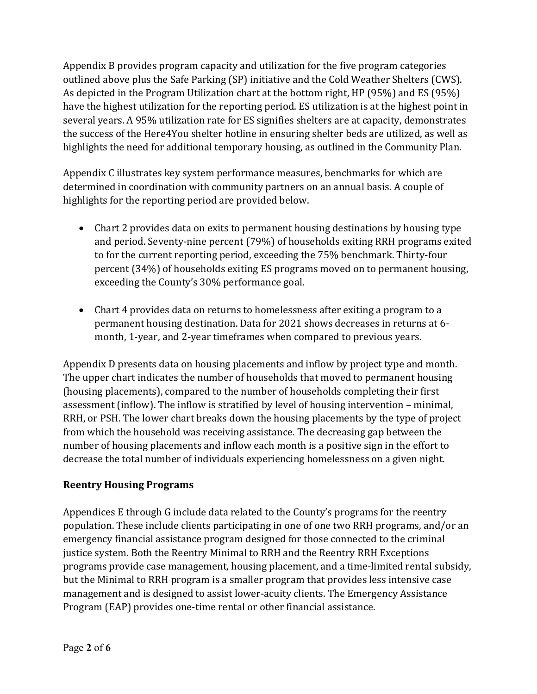Appendix B provides program capacity and utilization for the five program categories outlined above plus the Safe Parking (SP) initiative and the Cold Weather Shelters (CWS). As depicted in the Program Utilization chart at the bottom right, HP (95%) and ES (95%) have the highest utilization for the reporting period. ES utilization is at the highest point in several years. A 95% utilization rate for ES signifies shelters are at capacity, demonstrates the success of the Here4You shelter hotline in ensuring shelter beds are utilized, as well as highlights the need for additional temporary housing, as outlined in the Community Plan.

Appendix C illustrates key system performance measures, benchmarks for which are determined in coordination with community partners on an annual basis. A couple of highlights for the reporting period are provided below.

- Chart 2 provides data on exits to permanent housing destinations by housing type and period. Seventy-nine percent (79%) of households exiting RRH programs exited to for the current reporting period, exceeding the 75% benchmark. Thirty-four percent (34%) of households exiting ES programs moved on to permanent housing, exceeding the County's 30% performance goal.
- Chart 4 provides data on returns to homelessness after exiting a program to a permanent housing destination. Data for 2021 shows decreases in returns at 6 month, 1-year, and 2-year timeframes when compared to previous years.

Appendix D presents data on housing placements and inflow by project type and month. The upper chart indicates the number of households that moved to permanent housing (housing placements), compared to the number of households completing their first assessment (inflow). The inflow is stratified by level of housing intervention – minimal, RRH, or PSH. The lower chart breaks down the housing placements by the type of project from which the household was receiving assistance. The decreasing gap between the number of housing placements and inflow each month is a positive sign in the effort to decrease the total number of individuals experiencing homelessness on a given night.

#### **Reentry Housing Programs**

Appendices E through G include data related to the County's programs for the reentry population. These include clients participating in one of one two RRH programs, and/or an emergency financial assistance program designed for those connected to the criminal justice system. Both the Reentry Minimal to RRH and the Reentry RRH Exceptions programs provide case management, housing placement, and a time-limited rental subsidy, but the Minimal to RRH program is a smaller program that provides less intensive case management and is designed to assist lower-acuity clients. The Emergency Assistance Program (EAP) provides one-time rental or other financial assistance.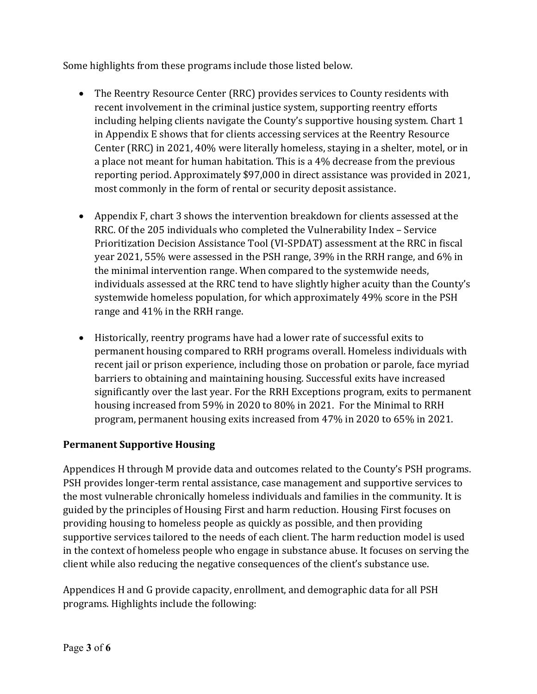Some highlights from these programs include those listed below.

- The Reentry Resource Center (RRC) provides services to County residents with recent involvement in the criminal justice system, supporting reentry efforts including helping clients navigate the County's supportive housing system. Chart 1 in Appendix E shows that for clients accessing services at the Reentry Resource Center (RRC) in 2021, 40% were literally homeless, staying in a shelter, motel, or in a place not meant for human habitation. This is a 4% decrease from the previous reporting period. Approximately \$97,000 in direct assistance was provided in 2021, most commonly in the form of rental or security deposit assistance.
- Appendix F, chart 3 shows the intervention breakdown for clients assessed at the RRC. Of the 205 individuals who completed the Vulnerability Index – Service Prioritization Decision Assistance Tool (VI-SPDAT) assessment at the RRC in fiscal year 2021, 55% were assessed in the PSH range, 39% in the RRH range, and 6% in the minimal intervention range. When compared to the systemwide needs, individuals assessed at the RRC tend to have slightly higher acuity than the County's systemwide homeless population, for which approximately 49% score in the PSH range and 41% in the RRH range.
- Historically, reentry programs have had a lower rate of successful exits to permanent housing compared to RRH programs overall. Homeless individuals with recent jail or prison experience, including those on probation or parole, face myriad barriers to obtaining and maintaining housing. Successful exits have increased significantly over the last year. For the RRH Exceptions program, exits to permanent housing increased from 59% in 2020 to 80% in 2021. For the Minimal to RRH program, permanent housing exits increased from 47% in 2020 to 65% in 2021.

#### **Permanent Supportive Housing**

Appendices H through M provide data and outcomes related to the County's PSH programs. PSH provides longer-term rental assistance, case management and supportive services to the most vulnerable chronically homeless individuals and families in the community. It is guided by the principles of Housing First and harm reduction. Housing First focuses on providing housing to homeless people as quickly as possible, and then providing supportive services tailored to the needs of each client. The harm reduction model is used in the context of homeless people who engage in substance abuse. It focuses on serving the client while also reducing the negative consequences of the client's substance use.

Appendices H and G provide capacity, enrollment, and demographic data for all PSH programs. Highlights include the following: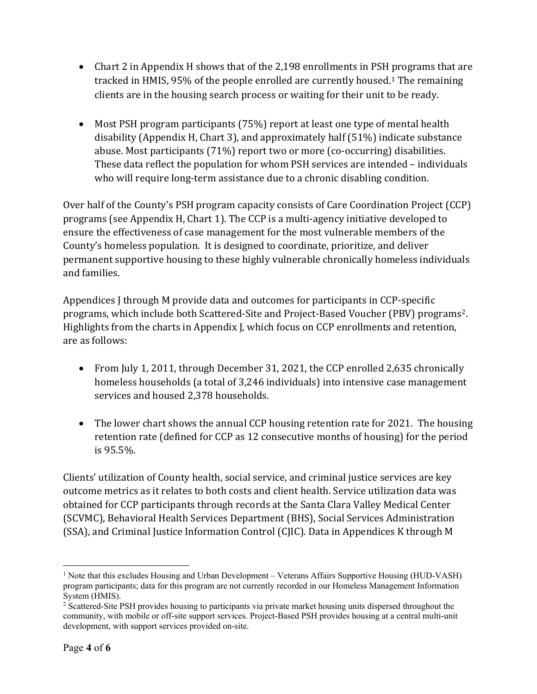- Chart 2 in Appendix H shows that of the 2,198 enrollments in PSH programs that are tracked in HMIS, 95% of the people enrolled are currently housed.[1](#page-3-0) The remaining clients are in the housing search process or waiting for their unit to be ready.
- Most PSH program participants (75%) report at least one type of mental health disability (Appendix H, Chart 3), and approximately half (51%) indicate substance abuse. Most participants (71%) report two or more (co-occurring) disabilities. These data reflect the population for whom PSH services are intended – individuals who will require long-term assistance due to a chronic disabling condition.

Over half of the County's PSH program capacity consists of Care Coordination Project (CCP) programs (see Appendix H, Chart 1). The CCP is a multi-agency initiative developed to ensure the effectiveness of case management for the most vulnerable members of the County's homeless population. It is designed to coordinate, prioritize, and deliver permanent supportive housing to these highly vulnerable chronically homeless individuals and families.

Appendices J through M provide data and outcomes for participants in CCP-specific programs, which include both Scattered-Site and Project-Based Voucher (PBV) programs[2](#page-3-1). Highlights from the charts in Appendix J, which focus on CCP enrollments and retention, are as follows:

- From July 1, 2011, through December 31, 2021, the CCP enrolled 2,635 chronically homeless households (a total of 3,246 individuals) into intensive case management services and housed 2,378 households.
- The lower chart shows the annual CCP housing retention rate for 2021. The housing retention rate (defined for CCP as 12 consecutive months of housing) for the period is 95.5%.

Clients' utilization of County health, social service, and criminal justice services are key outcome metrics as it relates to both costs and client health. Service utilization data was obtained for CCP participants through records at the Santa Clara Valley Medical Center (SCVMC), Behavioral Health Services Department (BHS), Social Services Administration (SSA), and Criminal Justice Information Control (CJIC). Data in Appendices K through M

<span id="page-3-0"></span><sup>&</sup>lt;sup>1</sup> Note that this excludes Housing and Urban Development – Veterans Affairs Supportive Housing (HUD-VASH) program participants; data for this program are not currently recorded in our Homeless Management Information System (HMIS).

<span id="page-3-1"></span><sup>&</sup>lt;sup>2</sup> Scattered-Site PSH provides housing to participants via private market housing units dispersed throughout the community, with mobile or off-site support services. Project-Based PSH provides housing at a central multi-unit development, with support services provided on-site.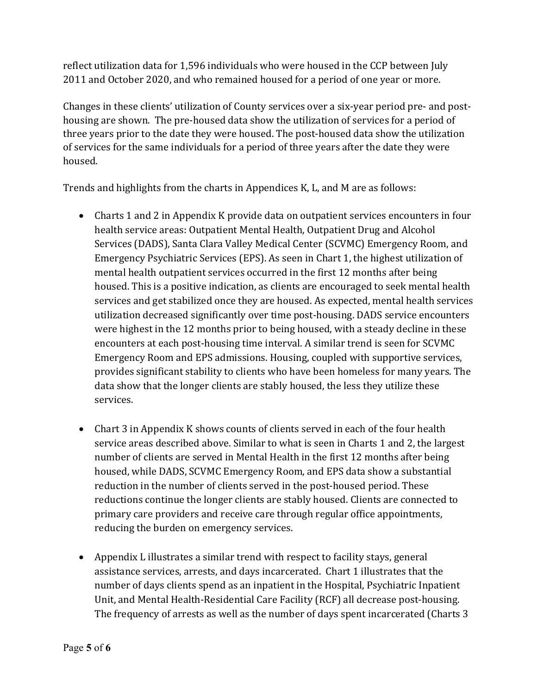reflect utilization data for 1,596 individuals who were housed in the CCP between July 2011 and October 2020, and who remained housed for a period of one year or more.

Changes in these clients' utilization of County services over a six-year period pre- and posthousing are shown. The pre-housed data show the utilization of services for a period of three years prior to the date they were housed. The post-housed data show the utilization of services for the same individuals for a period of three years after the date they were housed.

Trends and highlights from the charts in Appendices K, L, and M are as follows:

- Charts 1 and 2 in Appendix K provide data on outpatient services encounters in four health service areas: Outpatient Mental Health, Outpatient Drug and Alcohol Services (DADS), Santa Clara Valley Medical Center (SCVMC) Emergency Room, and Emergency Psychiatric Services (EPS). As seen in Chart 1, the highest utilization of mental health outpatient services occurred in the first 12 months after being housed. This is a positive indication, as clients are encouraged to seek mental health services and get stabilized once they are housed. As expected, mental health services utilization decreased significantly over time post-housing. DADS service encounters were highest in the 12 months prior to being housed, with a steady decline in these encounters at each post-housing time interval. A similar trend is seen for SCVMC Emergency Room and EPS admissions. Housing, coupled with supportive services, provides significant stability to clients who have been homeless for many years. The data show that the longer clients are stably housed, the less they utilize these services.
- Chart 3 in Appendix K shows counts of clients served in each of the four health service areas described above. Similar to what is seen in Charts 1 and 2, the largest number of clients are served in Mental Health in the first 12 months after being housed, while DADS, SCVMC Emergency Room, and EPS data show a substantial reduction in the number of clients served in the post-housed period. These reductions continue the longer clients are stably housed. Clients are connected to primary care providers and receive care through regular office appointments, reducing the burden on emergency services.
- Appendix L illustrates a similar trend with respect to facility stays, general assistance services, arrests, and days incarcerated. Chart 1 illustrates that the number of days clients spend as an inpatient in the Hospital, Psychiatric Inpatient Unit, and Mental Health-Residential Care Facility (RCF) all decrease post-housing. The frequency of arrests as well as the number of days spent incarcerated (Charts 3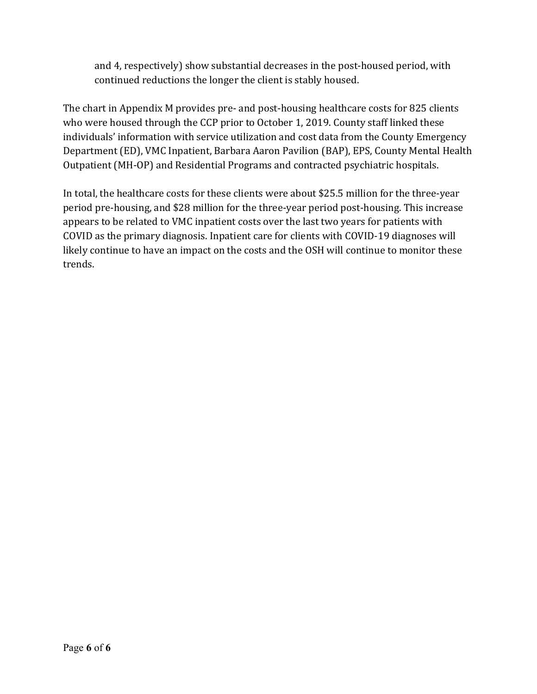and 4, respectively) show substantial decreases in the post-housed period, with continued reductions the longer the client is stably housed.

The chart in Appendix M provides pre- and post-housing healthcare costs for 825 clients who were housed through the CCP prior to October 1, 2019. County staff linked these individuals' information with service utilization and cost data from the County Emergency Department (ED), VMC Inpatient, Barbara Aaron Pavilion (BAP), EPS, County Mental Health Outpatient (MH-OP) and Residential Programs and contracted psychiatric hospitals.

In total, the healthcare costs for these clients were about \$25.5 million for the three-year period pre-housing, and \$28 million for the three-year period post-housing. This increase appears to be related to VMC inpatient costs over the last two years for patients with COVID as the primary diagnosis. Inpatient care for clients with COVID-19 diagnoses will likely continue to have an impact on the costs and the OSH will continue to monitor these trends.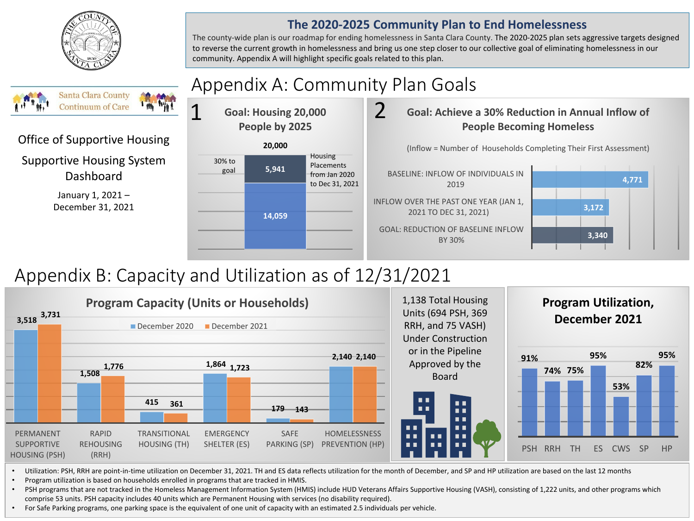

#### **The 2020-2025 Community Plan to End Homelessness**

The county-wide plan is our roadmap for ending homelessness in Santa Clara County. The 2020-2025 plan sets aggressive targets designed to reverse the current growth in homelessness and bring us one step closer to our collective goal of eliminating homelessness in our community. Appendix A will highlight specific goals related to this plan.

#### Appendix A: Community Plan Goals **Santa Clara County** 1 **Continuum of Care** 2 **Goal: Housing 20,000 Goal: Achieve a 30% Reduction in Annual Inflow of People by 2025 People Becoming Homeless** Office of Supportive Housing **20,000** (Inflow = Number of Households Completing Their First Assessment) Housing Supportive Housing System 30% to **Placements 5,941** goal Dashboard BASELINE: INFLOW OF INDIVIDUALS IN from Jan 2020 **4,771** to Dec 31, 2021 2019 January 1, 2021 – INFLOW OVER THE PAST ONE YEAR (JAN 1, December 31, 2021 **3,172**  2021 TO DEC 31, 2021) **14,059** GOAL: REDUCTION OF BASELINE INFLOW **3,340**  BY 30%

# Appendix B: Capacity and Utilization as of 12/31/2021



• Program utilization is based on households enrolled in programs that are tracked in HMIS.

• PSH programs that are not tracked in the Homeless Management Information System (HMIS) include HUD Veterans Affairs Supportive Housing (VASH), consisting of 1,222 units, and other programs which comprise 53 units. PSH capacity includes 40 units which are Permanent Housing with services (no disability required).

• For Safe Parking programs, one parking space is the equivalent of one unit of capacity with an estimated 2.5 individuals per vehicle.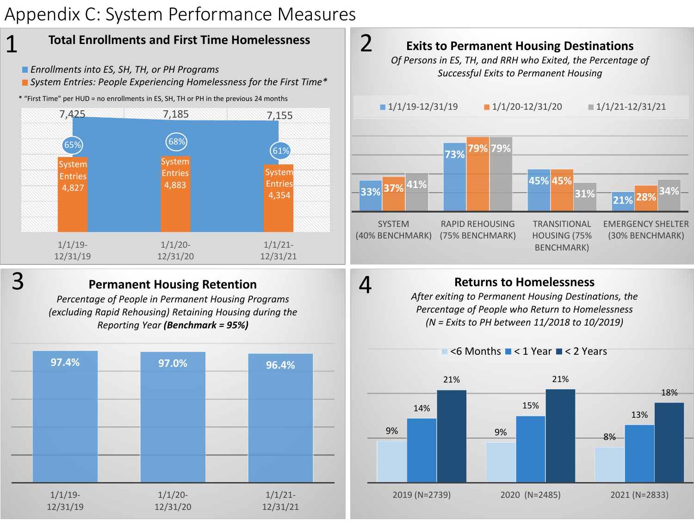# Appendix C: System Performance Measures







 $\leq$  Months  $\leq$  1 Year  $\leq$  2 Years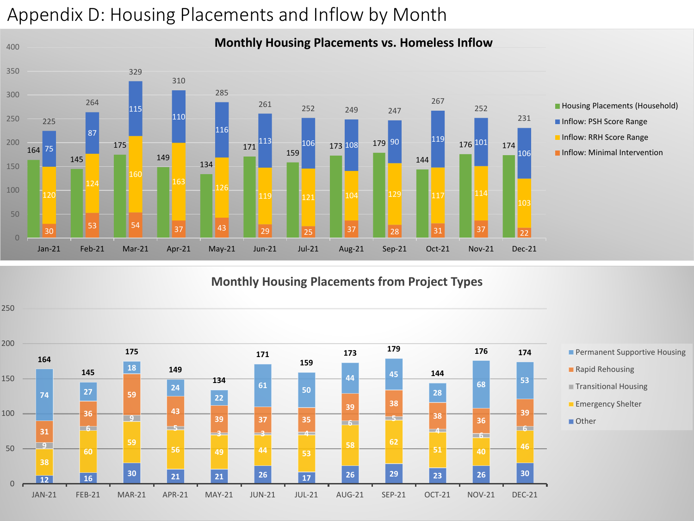# Appendix D: Housing Placements and Inflow by Month



#### **Monthly Housing Placements from Project Types**

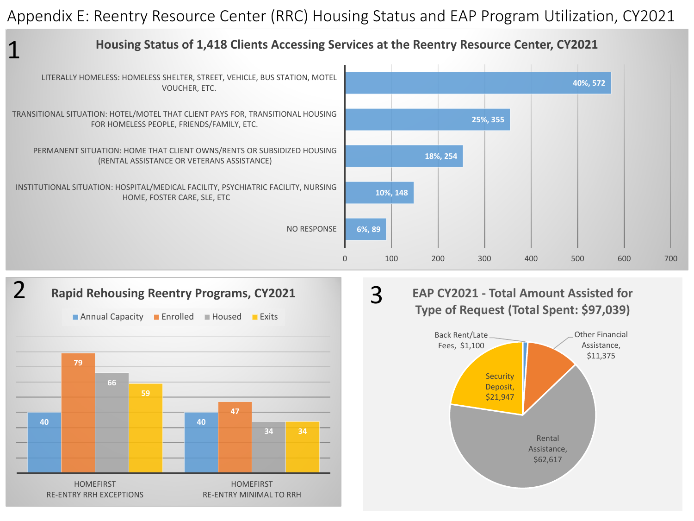Appendix E: Reentry Resource Center (RRC) Housing Status and EAP Program Utilization, CY2021





#### **EAP CY2021 - Total Amount Assisted for Type of Request (Total Spent: \$97,039)**

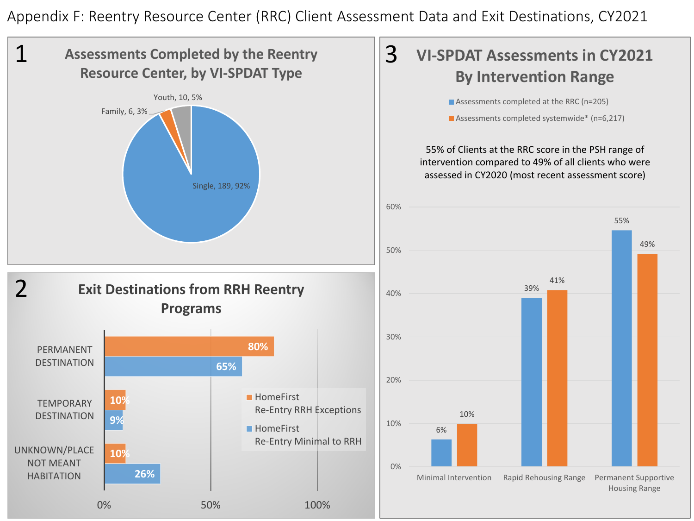Appendix F: Reentry Resource Center (RRC) Client Assessment Data and Exit Destinations, CY2021

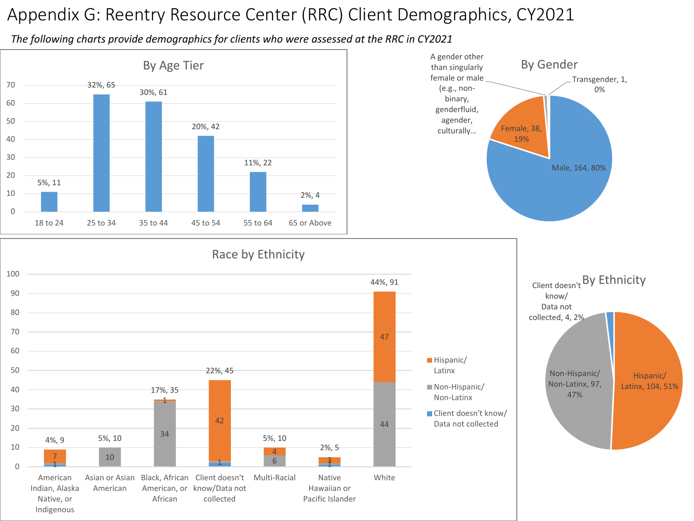## Appendix G: Reentry Resource Center (RRC) Client Demographics, CY2021

*The following charts provide demographics for clients who were assessed at the RRC in CY2021*

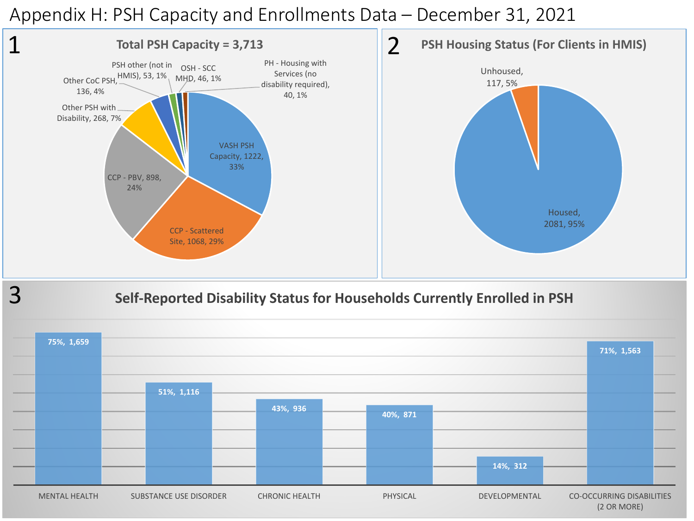### Appendix H: PSH Capacity and Enrollments Data – December 31, 2021

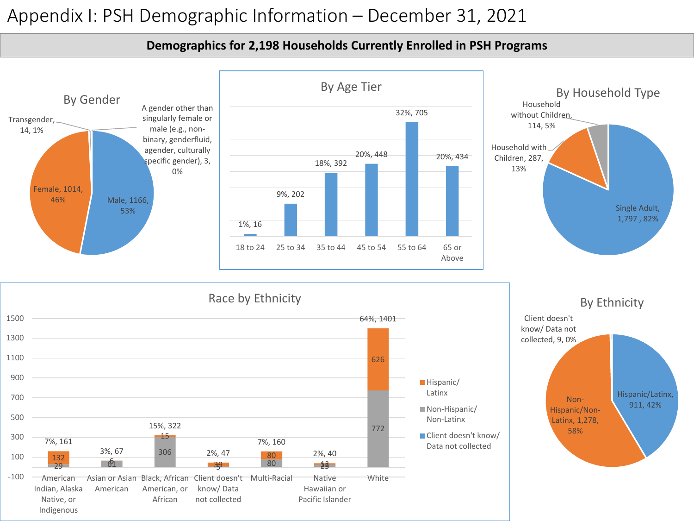### Appendix I: PSH Demographic Information – December 31, 2021

#### **Demographics for 2,198 Households Currently Enrolled in PSH Programs**

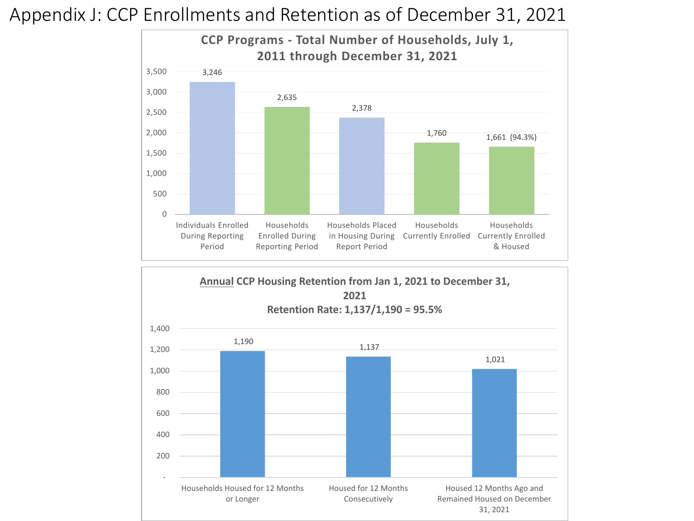### Appendix J: CCP Enrollments and Retention as of December 31, 2021



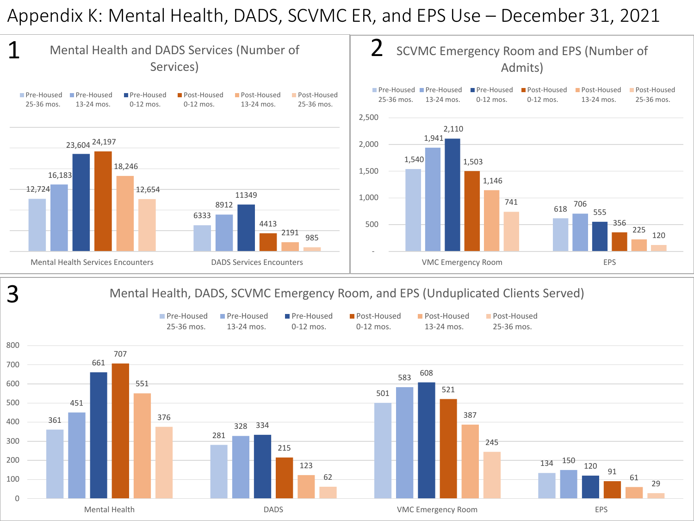### Appendix K: Mental Health, DADS, SCVMC ER, and EPS Use – December 31, 2021

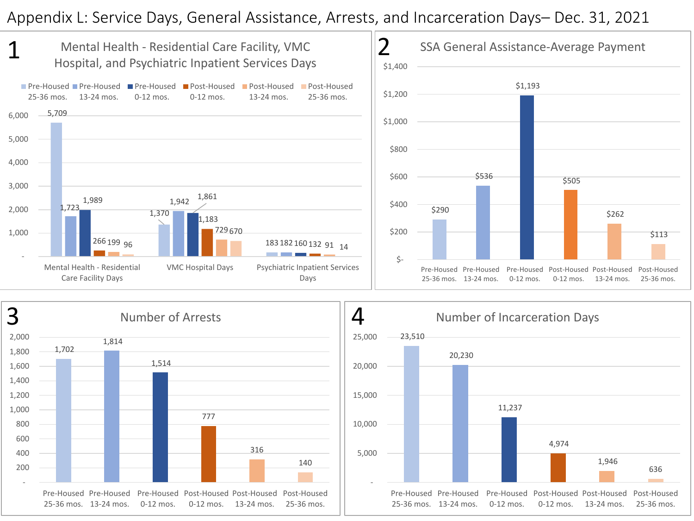### Appendix L: Service Days, General Assistance, Arrests, and Incarceration Days– Dec. 31, 2021